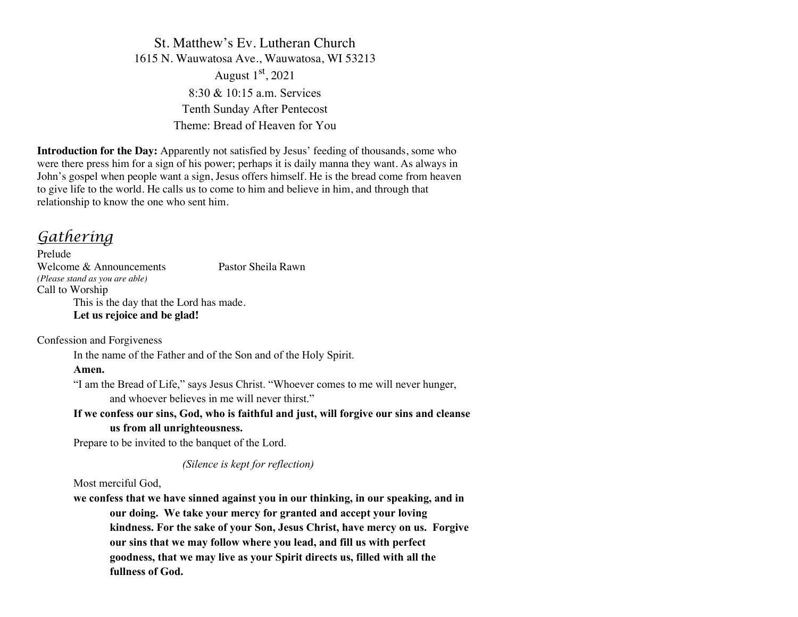St. Matthew's Ev. Lutheran Church 1615 N. Wauwatosa Ave., Wauwatosa, WI 53213 August  $1<sup>st</sup>$ , 2021 8:30 & 10:15 a.m. Services Tenth Sunday After Pentecost Theme: Bread of Heaven for You

**Introduction for the Day:** Apparently not satisfied by Jesus' feeding of thousands, some who were there press him for a sign of his power; perhaps it is daily manna they want. As always in John's gospel when people want a sign, Jesus offers himself. He is the bread come from heaven to give life to the world. He calls us to come to him and believe in him, and through that relationship to know the one who sent him.

# *Gathering*

Prelude Welcome & Announcements Pastor Sheila Rawn *(Please stand as you are able)* Call to Worship

This is the day that the Lord has made. **Let us rejoice and be glad!**

Confession and Forgiveness

In the name of the Father and of the Son and of the Holy Spirit.

# **Amen.**

"I am the Bread of Life," says Jesus Christ. "Whoever comes to me will never hunger, and whoever believes in me will never thirst."

**If we confess our sins, God, who is faithful and just, will forgive our sins and cleanse us from all unrighteousness.**

Prepare to be invited to the banquet of the Lord.

*(Silence is kept for reflection)*

Most merciful God,

**we confess that we have sinned against you in our thinking, in our speaking, and in our doing. We take your mercy for granted and accept your loving kindness. For the sake of your Son, Jesus Christ, have mercy on us. Forgive our sins that we may follow where you lead, and fill us with perfect goodness, that we may live as your Spirit directs us, filled with all the fullness of God.**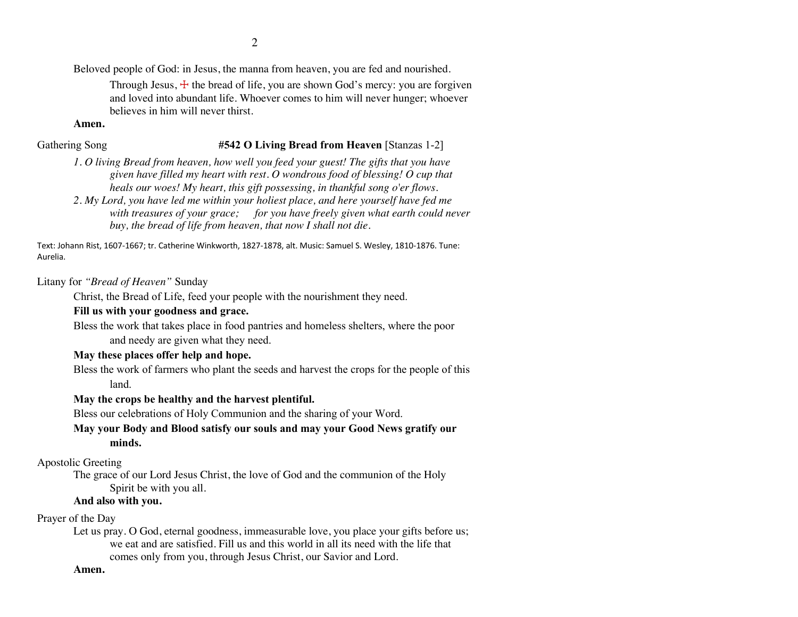Beloved people of God: in Jesus, the manna from heaven, you are fed and nourished.

Through Jesus,  $\pm$  the bread of life, you are shown God's mercy: you are forgiven and loved into abundant life. Whoever comes to him will never hunger; whoever believes in him will never thirst.

### **Amen.**

# Gathering Song **#542 O Living Bread from Heaven** [Stanzas 1-2]

- *1. O living Bread from heaven, how well you feed your guest! The gifts that you have given have filled my heart with rest. O wondrous food of blessing! O cup that heals our woes! My heart, this gift possessing, in thankful song o'er flows.*
- *2. My Lord, you have led me within your holiest place, and here yourself have fed me with treasures of your grace; for you have freely given what earth could never buy, the bread of life from heaven, that now I shall not die.*

Text: Johann Rist, 1607-1667; tr. Catherine Winkworth, 1827-1878, alt. Music: Samuel S. Wesley, 1810-1876. Tune: Aurelia.

# Litany for *"Bread of Heaven"* Sunday

Christ, the Bread of Life, feed your people with the nourishment they need.

# **Fill us with your goodness and grace.**

Bless the work that takes place in food pantries and homeless shelters, where the poor and needy are given what they need.

# **May these places offer help and hope.**

Bless the work of farmers who plant the seeds and harvest the crops for the people of this land.

# **May the crops be healthy and the harvest plentiful.**

Bless our celebrations of Holy Communion and the sharing of your Word.

# **May your Body and Blood satisfy our souls and may your Good News gratify our minds.**

# Apostolic Greeting

The grace of our Lord Jesus Christ, the love of God and the communion of the Holy Spirit be with you all.

# **And also with you.**

# Prayer of the Day

Let us pray. O God, eternal goodness, immeasurable love, you place your gifts before us; we eat and are satisfied. Fill us and this world in all its need with the life that comes only from you, through Jesus Christ, our Savior and Lord.

### **Amen.**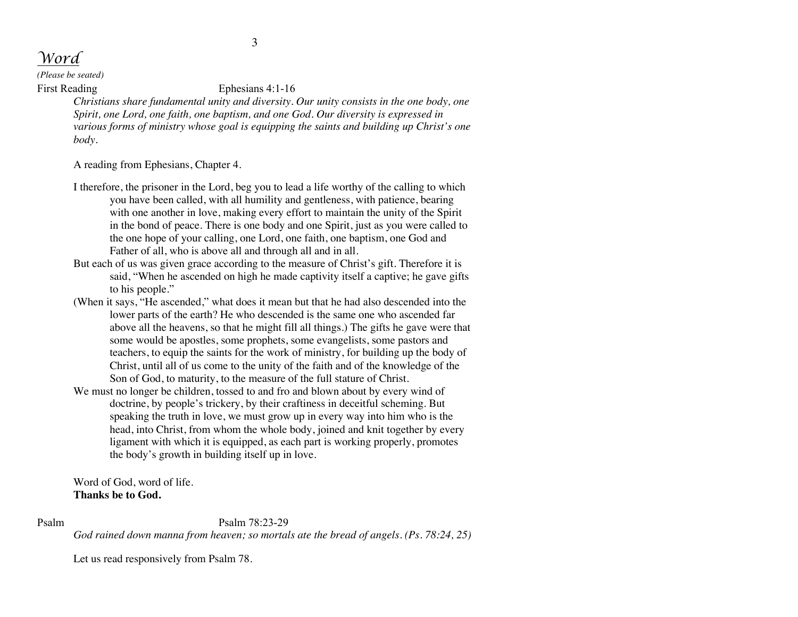3

*Word*

*(Please be seated)*

#### First Reading Ephesians 4:1-16

*Christians share fundamental unity and diversity. Our unity consists in the one body, one Spirit, one Lord, one faith, one baptism, and one God. Our diversity is expressed in various forms of ministry whose goal is equipping the saints and building up Christ's one body.*

A reading from Ephesians, Chapter 4.

- I therefore, the prisoner in the Lord, beg you to lead a life worthy of the calling to which you have been called, with all humility and gentleness, with patience, bearing with one another in love, making every effort to maintain the unity of the Spirit in the bond of peace. There is one body and one Spirit, just as you were called to the one hope of your calling, one Lord, one faith, one baptism, one God and Father of all, who is above all and through all and in all.
- But each of us was given grace according to the measure of Christ's gift. Therefore it is said, "When he ascended on high he made captivity itself a captive; he gave gifts to his people."
- (When it says, "He ascended," what does it mean but that he had also descended into the lower parts of the earth? He who descended is the same one who ascended far above all the heavens, so that he might fill all things.) The gifts he gave were that some would be apostles, some prophets, some evangelists, some pastors and teachers, to equip the saints for the work of ministry, for building up the body of Christ, until all of us come to the unity of the faith and of the knowledge of the Son of God, to maturity, to the measure of the full stature of Christ.
- We must no longer be children, tossed to and fro and blown about by every wind of doctrine, by people's trickery, by their craftiness in deceitful scheming. But speaking the truth in love, we must grow up in every way into him who is the head, into Christ, from whom the whole body, joined and knit together by every ligament with which it is equipped, as each part is working properly, promotes the body's growth in building itself up in love.

Word of God, word of life. **Thanks be to God.**

Psalm 78:23-29

*God rained down manna from heaven; so mortals ate the bread of angels. (Ps. 78:24, 25)*

Let us read responsively from Psalm 78.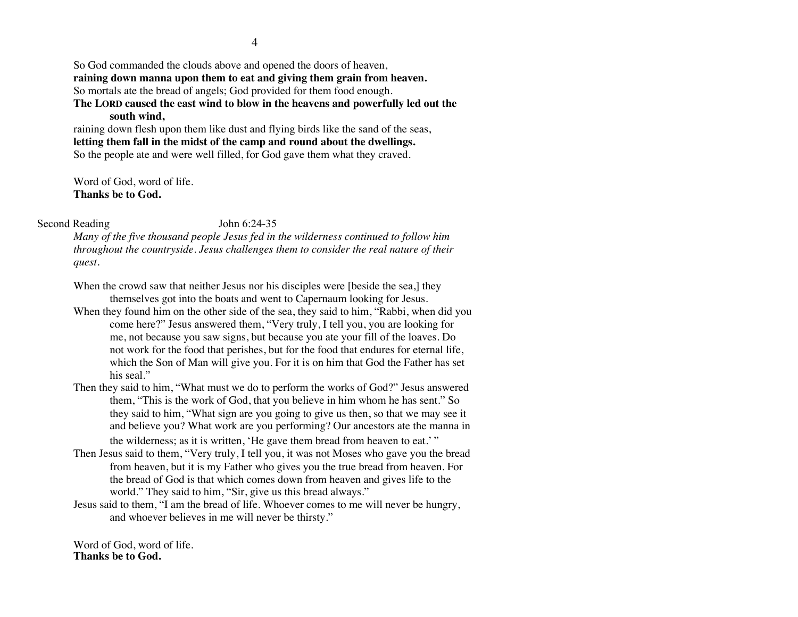So God commanded the clouds above and opened the doors of heaven, **raining down manna upon them to eat and giving them grain from heaven.** So mortals ate the bread of angels; God provided for them food enough.

# **The LORD caused the east wind to blow in the heavens and powerfully led out the south wind,**

raining down flesh upon them like dust and flying birds like the sand of the seas, **letting them fall in the midst of the camp and round about the dwellings.**  So the people ate and were well filled, for God gave them what they craved.

Word of God, word of life. **Thanks be to God.**

Second Reading John 6:24-35

*Many of the five thousand people Jesus fed in the wilderness continued to follow him throughout the countryside. Jesus challenges them to consider the real nature of their quest.*

- When the crowd saw that neither Jesus nor his disciples were [beside the sea.] they themselves got into the boats and went to Capernaum looking for Jesus.
- When they found him on the other side of the sea, they said to him, "Rabbi, when did you come here?" Jesus answered them, "Very truly, I tell you, you are looking for me, not because you saw signs, but because you ate your fill of the loaves. Do not work for the food that perishes, but for the food that endures for eternal life, which the Son of Man will give you. For it is on him that God the Father has set his seal."
- Then they said to him, "What must we do to perform the works of God?" Jesus answered them, "This is the work of God, that you believe in him whom he has sent." So they said to him, "What sign are you going to give us then, so that we may see it and believe you? What work are you performing? Our ancestors ate the manna in the wilderness; as it is written, 'He gave them bread from heaven to eat.' "
- Then Jesus said to them, "Very truly, I tell you, it was not Moses who gave you the bread from heaven, but it is my Father who gives you the true bread from heaven. For the bread of God is that which comes down from heaven and gives life to the world." They said to him, "Sir, give us this bread always."
- Jesus said to them, "I am the bread of life. Whoever comes to me will never be hungry, and whoever believes in me will never be thirsty."

Word of God, word of life. **Thanks be to God.**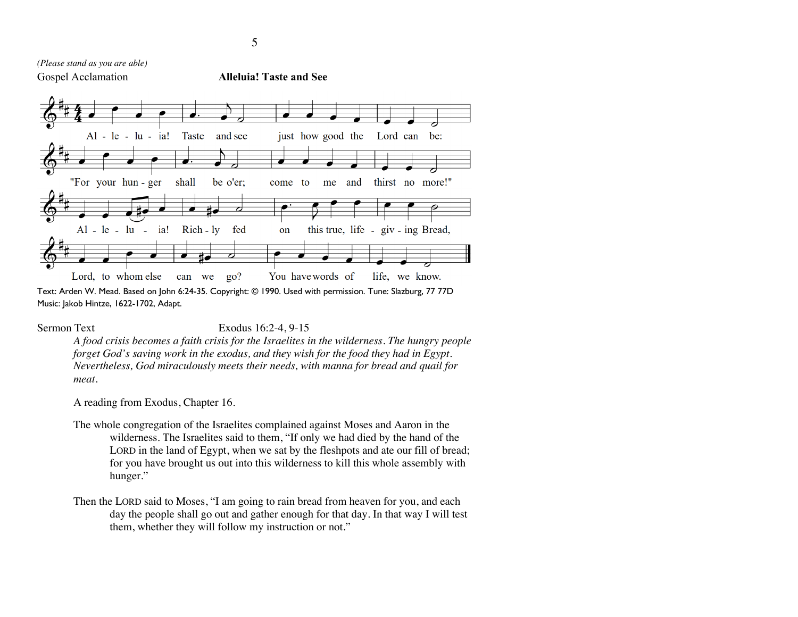*(Please stand as you are able)*





Music: Jakob Hintze, 1622-1702, Adapt.

### Sermon Text Exodus 16:2-4, 9-15

*A food crisis becomes a faith crisis for the Israelites in the wilderness. The hungry people forget God's saving work in the exodus, and they wish for the food they had in Egypt. Nevertheless, God miraculously meets their needs, with manna for bread and quail for meat.*

A reading from Exodus, Chapter 16.

The whole congregation of the Israelites complained against Moses and Aaron in the wilderness. The Israelites said to them, "If only we had died by the hand of the LORD in the land of Egypt, when we sat by the fleshpots and ate our fill of bread; for you have brought us out into this wilderness to kill this whole assembly with hunger."

Then the LORD said to Moses, "I am going to rain bread from heaven for you, and each day the people shall go out and gather enough for that day. In that way I will test them, whether they will follow my instruction or not."

5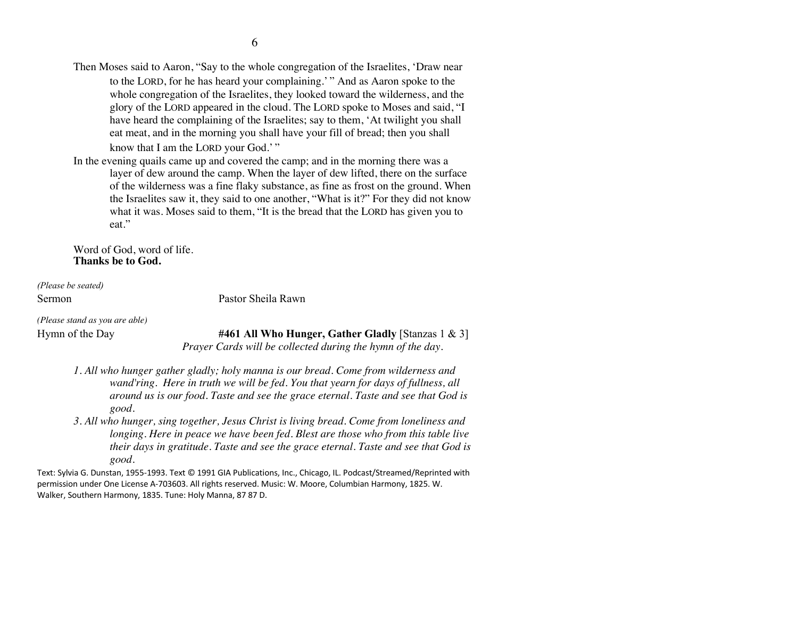- Then Moses said to Aaron, "Say to the whole congregation of the Israelites, 'Draw near to the LORD, for he has heard your complaining.' " And as Aaron spoke to the whole congregation of the Israelites, they looked toward the wilderness, and the glory of the LORD appeared in the cloud. The LORD spoke to Moses and said, "I have heard the complaining of the Israelites; say to them, 'At twilight you shall eat meat, and in the morning you shall have your fill of bread; then you shall know that I am the LORD your God.' "
- In the evening quails came up and covered the camp; and in the morning there was a layer of dew around the camp. When the layer of dew lifted, there on the surface of the wilderness was a fine flaky substance, as fine as frost on the ground. When the Israelites saw it, they said to one another, "What is it?" For they did not know what it was. Moses said to them, "It is the bread that the LORD has given you to eat."

Word of God, word of life. **Thanks be to God.**

*(Please be seated)*

Sermon Pastor Sheila Rawn

*(Please stand as you are able)*

Hymn of the Day **#461 All Who Hunger, Gather Gladly** [Stanzas 1 & 3] *Prayer Cards will be collected during the hymn of the day.*

- *1. All who hunger gather gladly; holy manna is our bread. Come from wilderness and wand'ring. Here in truth we will be fed. You that yearn for days of fullness, all around us is our food. Taste and see the grace eternal. Taste and see that God is good.*
- *3. All who hunger, sing together, Jesus Christ is living bread. Come from loneliness and longing. Here in peace we have been fed. Blest are those who from this table live their days in gratitude. Taste and see the grace eternal. Taste and see that God is good.*

Text: Sylvia G. Dunstan, 1955-1993. Text © 1991 GIA Publications, Inc., Chicago, IL. Podcast/Streamed/Reprinted with permission under One License A-703603. All rights reserved. Music: W. Moore, Columbian Harmony, 1825. W. Walker, Southern Harmony, 1835. Tune: Holy Manna, 87 87 D.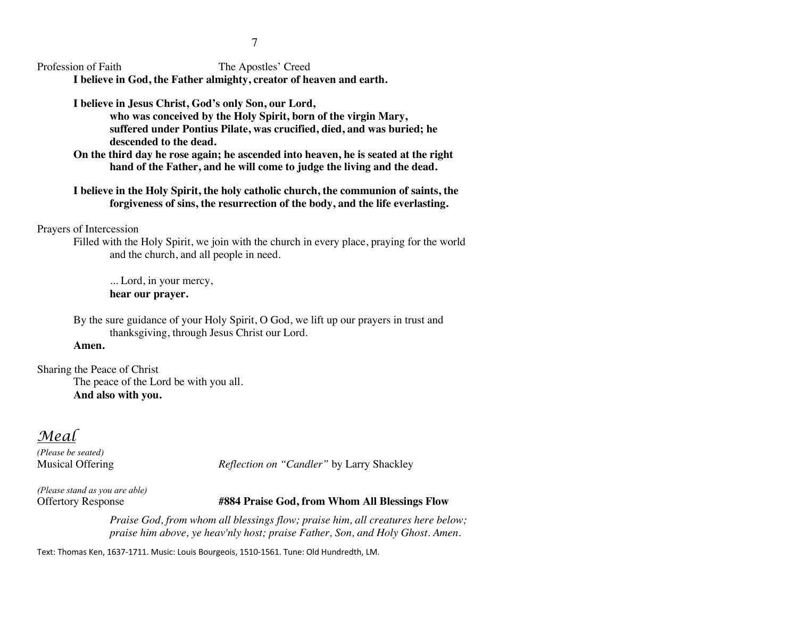Profession of Faith The Apostles' Creed

**I believe in God, the Father almighty, creator of heaven and earth.**

**I believe in Jesus Christ, God's only Son, our Lord,**

**who was conceived by the Holy Spirit, born of the virgin Mary, suffered under Pontius Pilate, was crucified, died, and was buried; he descended to the dead.**

**On the third day he rose again; he ascended into heaven, he is seated at the right hand of the Father, and he will come to judge the living and the dead.**

**I believe in the Holy Spirit, the holy catholic church, the communion of saints, the forgiveness of sins, the resurrection of the body, and the life everlasting.**

Prayers of Intercession

Filled with the Holy Spirit, we join with the church in every place, praying for the world and the church, and all people in need.

... Lord, in your mercy, **hear our prayer.**

By the sure guidance of your Holy Spirit, O God, we lift up our prayers in trust and thanksgiving, through Jesus Christ our Lord.

### **Amen.**

Sharing the Peace of Christ The peace of the Lord be with you all. **And also with you.**

# *Meal*

*(Please be seated)*

Musical Offering *Reflection on "Candler"* by Larry Shackley

*(Please stand as you are able)*

### Offertory Response **#884 Praise God, from Whom All Blessings Flow**

*Praise God, from whom all blessings flow; praise him, all creatures here below; praise him above, ye heav'nly host; praise Father, Son, and Holy Ghost. Amen.*

Text: Thomas Ken, 1637-1711. Music: Louis Bourgeois, 1510-1561. Tune: Old Hundredth, LM.